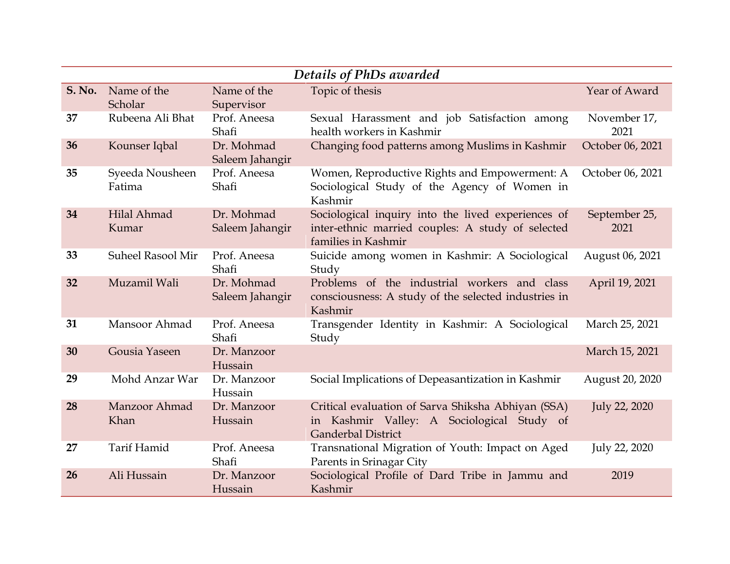| Details of PhDs awarded |                           |                               |                                                                                                                                |                       |  |  |  |
|-------------------------|---------------------------|-------------------------------|--------------------------------------------------------------------------------------------------------------------------------|-----------------------|--|--|--|
| <b>S. No.</b>           | Name of the<br>Scholar    | Name of the<br>Supervisor     | Topic of thesis                                                                                                                | Year of Award         |  |  |  |
| 37                      | Rubeena Ali Bhat          | Prof. Aneesa<br>Shafi         | Sexual Harassment and job Satisfaction among<br>health workers in Kashmir                                                      | November 17,<br>2021  |  |  |  |
| 36                      | Kounser Iqbal             | Dr. Mohmad<br>Saleem Jahangir | Changing food patterns among Muslims in Kashmir                                                                                | October 06, 2021      |  |  |  |
| 35                      | Syeeda Nousheen<br>Fatima | Prof. Aneesa<br>Shafi         | Women, Reproductive Rights and Empowerment: A<br>Sociological Study of the Agency of Women in<br>Kashmir                       | October 06, 2021      |  |  |  |
| 34                      | Hilal Ahmad<br>Kumar      | Dr. Mohmad<br>Saleem Jahangir | Sociological inquiry into the lived experiences of<br>inter-ethnic married couples: A study of selected<br>families in Kashmir | September 25,<br>2021 |  |  |  |
| 33                      | <b>Suheel Rasool Mir</b>  | Prof. Aneesa<br>Shafi         | Suicide among women in Kashmir: A Sociological<br>Study                                                                        | August 06, 2021       |  |  |  |
| 32                      | Muzamil Wali              | Dr. Mohmad<br>Saleem Jahangir | Problems of the industrial workers and class<br>consciousness: A study of the selected industries in<br>Kashmir                | April 19, 2021        |  |  |  |
| 31                      | Mansoor Ahmad             | Prof. Aneesa<br>Shafi         | Transgender Identity in Kashmir: A Sociological<br>Study                                                                       | March 25, 2021        |  |  |  |
| 30                      | Gousia Yaseen             | Dr. Manzoor<br>Hussain        |                                                                                                                                | March 15, 2021        |  |  |  |
| 29                      | Mohd Anzar War            | Dr. Manzoor<br>Hussain        | Social Implications of Depeasantization in Kashmir                                                                             | August 20, 2020       |  |  |  |
| 28                      | Manzoor Ahmad<br>Khan     | Dr. Manzoor<br>Hussain        | Critical evaluation of Sarva Shiksha Abhiyan (SSA)<br>in Kashmir Valley: A Sociological Study of<br><b>Ganderbal District</b>  | July 22, 2020         |  |  |  |
| 27                      | Tarif Hamid               | Prof. Aneesa<br>Shafi         | Transnational Migration of Youth: Impact on Aged<br>Parents in Srinagar City                                                   | July 22, 2020         |  |  |  |
| 26                      | Ali Hussain               | Dr. Manzoor<br>Hussain        | Sociological Profile of Dard Tribe in Jammu and<br>Kashmir                                                                     | 2019                  |  |  |  |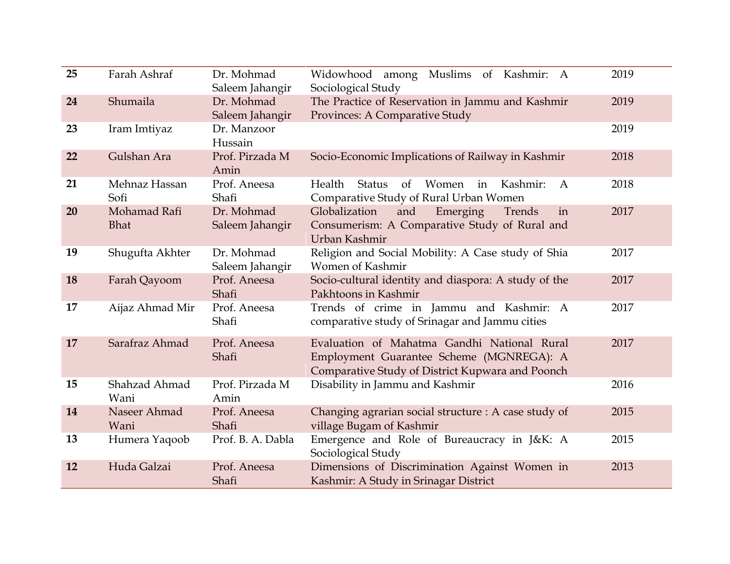| 25 | Farah Ashraf                | Dr. Mohmad<br>Saleem Jahangir | Widowhood among Muslims of Kashmir: A<br>Sociological Study                                                                                 | 2019 |
|----|-----------------------------|-------------------------------|---------------------------------------------------------------------------------------------------------------------------------------------|------|
| 24 | Shumaila                    | Dr. Mohmad<br>Saleem Jahangir | The Practice of Reservation in Jammu and Kashmir<br>Provinces: A Comparative Study                                                          | 2019 |
| 23 | Iram Imtiyaz                | Dr. Manzoor<br>Hussain        |                                                                                                                                             | 2019 |
| 22 | Gulshan Ara                 | Prof. Pirzada M<br>Amin       | Socio-Economic Implications of Railway in Kashmir                                                                                           | 2018 |
| 21 | Mehnaz Hassan<br>Sofi       | Prof. Aneesa<br>Shafi         | Health<br><b>Status</b><br>$\sigma$<br>Women<br>in<br>Kashmir:<br>$\mathbf{A}$<br>Comparative Study of Rural Urban Women                    | 2018 |
| 20 | Mohamad Rafi<br><b>Bhat</b> | Dr. Mohmad<br>Saleem Jahangir | Globalization<br>and<br>Emerging<br>Trends<br>in<br>Consumerism: A Comparative Study of Rural and<br>Urban Kashmir                          | 2017 |
| 19 | Shugufta Akhter             | Dr. Mohmad<br>Saleem Jahangir | Religion and Social Mobility: A Case study of Shia<br>Women of Kashmir                                                                      | 2017 |
| 18 | Farah Qayoom                | Prof. Aneesa<br>Shafi         | Socio-cultural identity and diaspora: A study of the<br>Pakhtoons in Kashmir                                                                | 2017 |
| 17 | Aijaz Ahmad Mir             | Prof. Aneesa<br>Shafi         | Trends of crime in Jammu and Kashmir: A<br>comparative study of Srinagar and Jammu cities                                                   | 2017 |
| 17 | Sarafraz Ahmad              | Prof. Aneesa<br>Shafi         | Evaluation of Mahatma Gandhi National Rural<br>Employment Guarantee Scheme (MGNREGA): A<br>Comparative Study of District Kupwara and Poonch | 2017 |
| 15 | Shahzad Ahmad<br>Wani       | Prof. Pirzada M<br>Amin       | Disability in Jammu and Kashmir                                                                                                             | 2016 |
| 14 | Naseer Ahmad<br>Wani        | Prof. Aneesa<br>Shafi         | Changing agrarian social structure : A case study of<br>village Bugam of Kashmir                                                            | 2015 |
| 13 | Humera Yaqoob               | Prof. B. A. Dabla             | Emergence and Role of Bureaucracy in J&K: A<br>Sociological Study                                                                           | 2015 |
| 12 | Huda Galzai                 | Prof. Aneesa<br>Shafi         | Dimensions of Discrimination Against Women in<br>Kashmir: A Study in Srinagar District                                                      | 2013 |